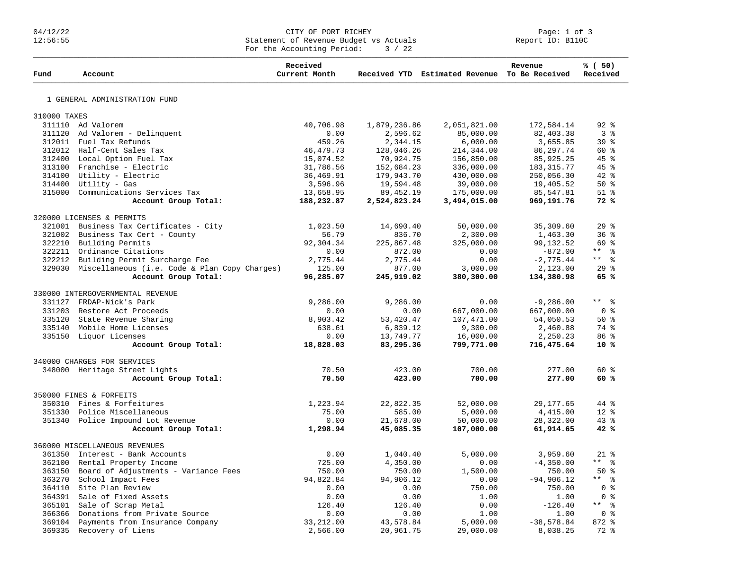## 04/12/22 CITY OF PORT RICHEY Page: 1 of 3 12:56:55 Statement of Revenue Budget vs Actuals Report ID: B110C For the Accounting Period:  $3 / 22$

| Fund                            | Account                                              | Received<br>Current Month |              | Received YTD Estimated Revenue To Be Received | Revenue      | % (50)<br>Received  |
|---------------------------------|------------------------------------------------------|---------------------------|--------------|-----------------------------------------------|--------------|---------------------|
|                                 | 1 GENERAL ADMINISTRATION FUND                        |                           |              |                                               |              |                     |
|                                 |                                                      |                           |              |                                               |              |                     |
| 310000 TAXES                    | 311110 Ad Valorem                                    | 40,706.98                 | 1,879,236.86 | 2,051,821.00                                  | 172,584.14   | $92$ $%$            |
|                                 | 311120 Ad Valorem - Delinquent                       | 0.00                      | 2,596.62     | 85,000.00                                     | 82,403.38    | 3 <sup>8</sup>      |
|                                 | 312011 Fuel Tax Refunds                              | 459.26                    | 2,344.15     | 6,000.00                                      | 3,655.85     | 39 <sup>8</sup>     |
|                                 | 312012 Half-Cent Sales Tax                           | 46, 479. 73               | 128,046.26   | 214,344.00                                    | 86, 297.74   | 60 %                |
|                                 | 312400 Local Option Fuel Tax                         | 15,074.52                 | 70,924.75    | 156,850.00                                    | 85,925.25    | $45$ %              |
|                                 | 313100 Franchise - Electric                          | 31,786.56                 | 152,684.23   | 336,000.00                                    | 183, 315. 77 | $45$ %              |
|                                 | 314100 Utility - Electric                            | 36,469.91                 | 179,943.70   | 430,000.00                                    | 250,056.30   | $42$ $%$            |
|                                 | 314400 Utility - Gas                                 | 3,596.96                  | 19,594.48    | 39,000.00                                     | 19,405.52    | 50%                 |
|                                 | 315000 Communications Services Tax                   | 13,658.95                 | 89, 452.19   | 175,000.00                                    | 85,547.81    | $51$ $%$            |
|                                 | Account Group Total:                                 | 188,232.87                | 2,524,823.24 | 3,494,015.00                                  | 969,191.76   | 72%                 |
|                                 |                                                      |                           |              |                                               |              |                     |
|                                 | 320000 LICENSES & PERMITS                            |                           |              |                                               |              |                     |
|                                 | 321001 Business Tax Certificates - City              | 1,023.50                  | 14,690.40    | 50,000.00                                     | 35,309.60    | 29%                 |
| 321002                          | Business Tax Cert - County                           | 56.79                     | 836.70       | 2,300.00                                      | 1,463.30     | 36%                 |
|                                 | 322210 Building Permits                              | 92,304.34                 | 225,867.48   | 325,000.00                                    | 99,132.52    | 69 %                |
|                                 | 322211 Ordinance Citations                           | 0.00                      | 872.00       | 0.00                                          | $-872.00$    | ** %                |
|                                 | 322212 Building Permit Surcharge Fee                 | 2,775.44                  | 2,775.44     | 0.00                                          | $-2,775.44$  | $***$ $  -$         |
|                                 | 329030 Miscellaneous (i.e. Code & Plan Copy Charges) | 125.00                    | 877.00       | 3,000.00                                      | 2,123.00     | 29%                 |
|                                 | Account Group Total:                                 | 96,285.07                 | 245,919.02   | 380,300.00                                    | 134,380.98   | 65%                 |
|                                 | 330000 INTERGOVERNMENTAL REVENUE                     |                           |              |                                               |              |                     |
|                                 | 331127 FRDAP-Nick's Park                             | 9,286.00                  | 9,286.00     | 0.00                                          | $-9,286.00$  | $***$ $\frac{6}{6}$ |
|                                 | 331203 Restore Act Proceeds                          | 0.00                      | 0.00         | 667,000.00                                    | 667,000.00   | 0 <sup>8</sup>      |
|                                 | 335120 State Revenue Sharing                         | 8,903.42                  | 53,420.47    | 107,471.00                                    | 54,050.53    | 50%                 |
|                                 | 335140 Mobile Home Licenses                          | 638.61                    | 6,839.12     | 9,300.00                                      | 2,460.88     | 74 %                |
|                                 | 335150 Liquor Licenses                               | 0.00                      | 13,749.77    | 16,000.00                                     | 2,250.23     | 86 <sup>8</sup>     |
|                                 | Account Group Total:                                 | 18,828.03                 | 83,295.36    | 799,771.00                                    | 716,475.64   | $10*$               |
|                                 | 340000 CHARGES FOR SERVICES                          |                           |              |                                               |              |                     |
|                                 | 348000 Heritage Street Lights                        | 70.50                     | 423.00       | 700.00                                        | 277.00       | $60*$               |
|                                 | Account Group Total:                                 | 70.50                     | 423.00       | 700.00                                        | 277.00       | 60 %                |
|                                 |                                                      |                           |              |                                               |              |                     |
|                                 | 350000 FINES & FORFEITS                              |                           |              |                                               |              |                     |
|                                 | 350310 Fines & Forfeitures                           | 1,223.94                  | 22,822.35    | 52,000.00                                     | 29, 177.65   | $44$ $%$            |
|                                 | 351330 Police Miscellaneous                          | 75.00                     | 585.00       | 5,000.00                                      | 4,415.00     | $12*$               |
|                                 | 351340 Police Impound Lot Revenue                    | 0.00                      | 21,678.00    | 50,000.00                                     | 28,322.00    | 43 %                |
|                                 | Account Group Total:                                 | 1,298.94                  | 45,085.35    | 107,000.00                                    | 61,914.65    | 42%                 |
|                                 | 360000 MISCELLANEOUS REVENUES                        |                           |              |                                               |              |                     |
| 361350 Interest - Bank Accounts |                                                      | 0.00                      | 1,040.40     | 5,000.00                                      | 3,959.60     | $21$ %              |
|                                 | 362100 Rental Property Income                        | 725.00                    | 4,350.00     | 0.00                                          | $-4,350.00$  | $***$ $ -$          |
|                                 | 363150 Board of Adjustments - Variance Fees          | 750.00                    | 750.00       | 1,500.00                                      | 750.00       | $50*$               |
|                                 | 363270 School Impact Fees                            | 94,822.84                 | 94,906.12    | 0.00                                          | $-94,906.12$ | $***$ 8             |
|                                 | 364110 Site Plan Review                              | 0.00                      | 0.00         | 750.00                                        | 750.00       | 0 <sup>8</sup>      |
|                                 | 364391 Sale of Fixed Assets                          | 0.00                      | 0.00         | 1.00                                          | 1.00         | 0 <sup>8</sup>      |
|                                 | 365101 Sale of Scrap Metal                           | 126.40                    | 126.40       | 0.00                                          | $-126.40$    | $***$ $\approx$     |
|                                 | 366366 Donations from Private Source                 | 0.00                      | 0.00         | 1.00                                          | 1.00         | 0 <sup>8</sup>      |
| 369104                          | Payments from Insurance Company                      | 33, 212.00                | 43,578.84    | 5,000.00                                      | $-38,578.84$ | $872$ $%$           |
| 369335                          | Recovery of Liens                                    | 2,566.00                  | 20,961.75    | 29,000.00                                     | 8,038.25     | $72$ $%$            |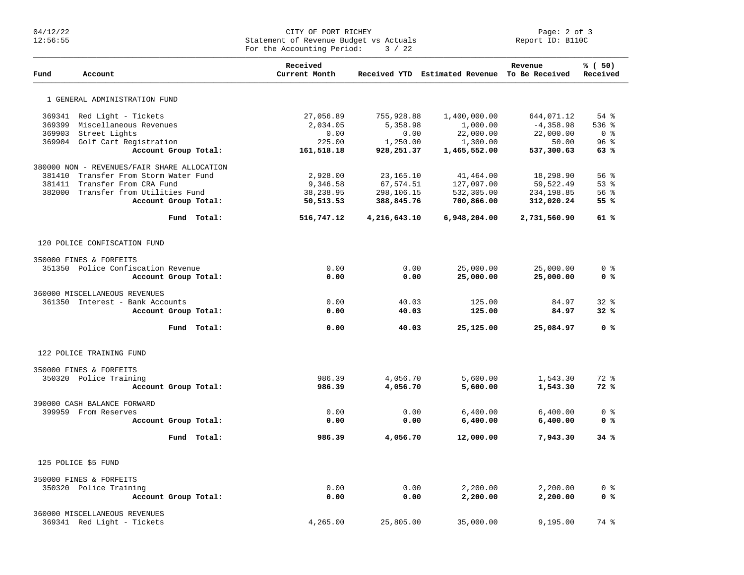## Page: 2 of 3 CITY OF PORT RICHEY<br>CITY OF PORT RICHEY PACTUALS Page: 2 of 3<br>CITY OF Revenue Budget vs Actuals Statement of Revenue Budget vs Actuals For the Accounting Period: 3 / 22

| Fund   | Account                                     | Received<br>Current Month |              | Received YTD Estimated Revenue To Be Received | Revenue      | % (50)<br>Received |
|--------|---------------------------------------------|---------------------------|--------------|-----------------------------------------------|--------------|--------------------|
|        | 1 GENERAL ADMINISTRATION FUND               |                           |              |                                               |              |                    |
|        | 369341 Red Light - Tickets                  | 27,056.89                 | 755,928.88   | 1,400,000.00                                  | 644,071.12   | 54 %               |
| 369399 | Miscellaneous Revenues                      | 2,034.05                  | 5,358.98     | 1,000.00                                      | $-4,358.98$  | $536$ %            |
| 369903 | Street Lights                               | 0.00                      | 0.00         | 22,000.00                                     | 22,000.00    | 0 <sup>8</sup>     |
|        | 369904 Golf Cart Registration               | 225.00                    | 1,250.00     | 1,300.00                                      | 50.00        | 96%                |
|        | Account Group Total:                        | 161,518.18                | 928,251.37   | 1,465,552.00                                  | 537,300.63   | 63%                |
|        | 380000 NON - REVENUES/FAIR SHARE ALLOCATION |                           |              |                                               |              |                    |
| 381410 | Transfer From Storm Water Fund              | 2,928.00                  | 23, 165. 10  | 41,464.00                                     | 18,298.90    | 56%                |
| 381411 | Transfer From CRA Fund                      | 9,346.58                  | 67,574.51    | 127,097.00                                    | 59,522.49    | 53%                |
|        | 382000 Transfer from Utilities Fund         | 38,238.95                 | 298,106.15   | 532,305.00                                    | 234,198.85   | $56$ $\frac{6}{3}$ |
|        | Account Group Total:                        | 50,513.53                 | 388,845.76   | 700,866.00                                    | 312,020.24   | 55%                |
|        | Fund Total:                                 | 516,747.12                | 4,216,643.10 | 6,948,204.00                                  | 2,731,560.90 | 61%                |
|        | 120 POLICE CONFISCATION FUND                |                           |              |                                               |              |                    |
|        | 350000 FINES & FORFEITS                     |                           |              |                                               |              |                    |
|        | 351350 Police Confiscation Revenue          | 0.00                      | 0.00         | 25,000.00                                     | 25,000.00    | 0 <sup>8</sup>     |
|        | Account Group Total:                        | 0.00                      | 0.00         | 25,000.00                                     | 25,000.00    | 0 <sup>8</sup>     |
|        |                                             |                           |              |                                               |              |                    |
|        | 360000 MISCELLANEOUS REVENUES               |                           |              |                                               |              |                    |
|        | 361350 Interest - Bank Accounts             | 0.00                      | 40.03        | 125.00                                        | 84.97        | $32$ $%$           |
|        | Account Group Total:                        | 0.00                      | 40.03        | 125.00                                        | 84.97        | 32%                |
|        | Fund Total:                                 | 0.00                      | 40.03        | 25,125.00                                     | 25,084.97    | 0 <sup>8</sup>     |
|        | 122 POLICE TRAINING FUND                    |                           |              |                                               |              |                    |
|        | 350000 FINES & FORFEITS                     |                           |              |                                               |              |                    |
|        | 350320 Police Training                      | 986.39                    | 4,056.70     | 5,600.00                                      | 1,543.30     | $72$ $%$           |
|        | Account Group Total:                        | 986.39                    | 4,056.70     | 5,600.00                                      | 1,543.30     | 72%                |
|        |                                             |                           |              |                                               |              |                    |
|        | 390000 CASH BALANCE FORWARD                 |                           |              |                                               |              |                    |
|        | 399959 From Reserves                        | 0.00                      | 0.00         | 6,400.00                                      | 6,400.00     | 0 <sup>8</sup>     |
|        | Account Group Total:                        | 0.00                      | 0.00         | 6,400.00                                      | 6,400.00     | 0 <sup>8</sup>     |
|        | Fund Total:                                 | 986.39                    | 4,056.70     | 12,000.00                                     | 7,943.30     | 34%                |
|        | 125 POLICE \$5 FUND                         |                           |              |                                               |              |                    |
|        | 350000 FINES & FORFEITS                     |                           |              |                                               |              |                    |
|        | 350320 Police Training                      | 0.00                      | 0.00         | 2,200.00                                      | 2,200.00     | 0 <sup>8</sup>     |
|        | Account Group Total:                        | 0.00                      | 0.00         | 2,200.00                                      | 2,200.00     | 0 <sup>8</sup>     |
|        |                                             |                           |              |                                               |              |                    |
|        | 360000 MISCELLANEOUS REVENUES               |                           |              |                                               |              |                    |
|        | 369341 Red Light - Tickets                  | 4,265.00                  | 25,805.00    | 35,000.00                                     | 9,195.00     | 74 %               |